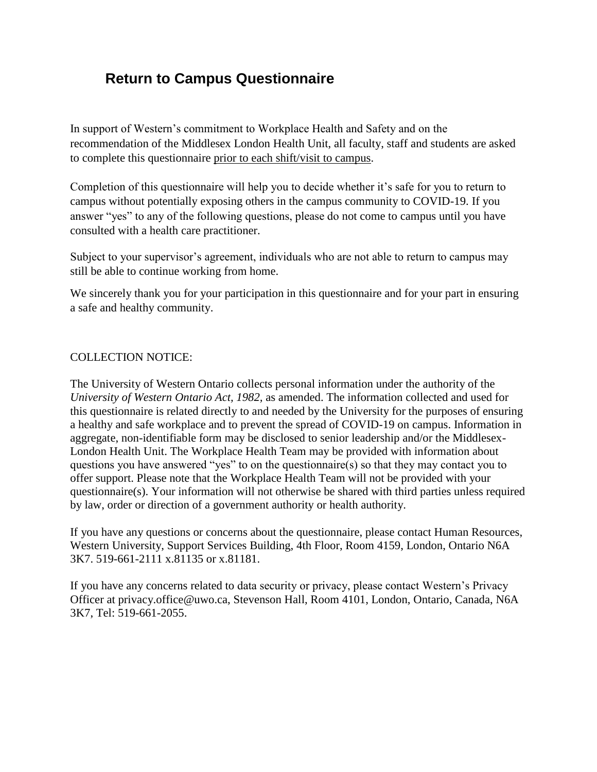### **Return to Campus Questionnaire**

In support of Western's commitment to Workplace Health and Safety and on the recommendation of the Middlesex London Health Unit, all faculty, staff and students are asked to complete this questionnaire prior to each shift/visit to campus.

Completion of this questionnaire will help you to decide whether it's safe for you to return to campus without potentially exposing others in the campus community to COVID-19. If you answer "yes" to any of the following questions, please do not come to campus until you have consulted with a health care practitioner.

Subject to your supervisor's agreement, individuals who are not able to return to campus may still be able to continue working from home.

We sincerely thank you for your participation in this questionnaire and for your part in ensuring a safe and healthy community.

#### COLLECTION NOTICE:

The University of Western Ontario collects personal information under the authority of the *University of Western Ontario Act, 1982,* as amended. The information collected and used for this questionnaire is related directly to and needed by the University for the purposes of ensuring a healthy and safe workplace and to prevent the spread of COVID-19 on campus. Information in aggregate, non-identifiable form may be disclosed to senior leadership and/or the Middlesex-London Health Unit. The Workplace Health Team may be provided with information about questions you have answered "yes" to on the questionnaire(s) so that they may contact you to offer support. Please note that the Workplace Health Team will not be provided with your questionnaire(s). Your information will not otherwise be shared with third parties unless required by law, order or direction of a government authority or health authority.

If you have any questions or concerns about the questionnaire, please contact Human Resources, Western University, Support Services Building, 4th Floor, Room 4159, London, Ontario N6A 3K7. 519-661-2111 x.81135 or x.81181.

If you have any concerns related to data security or privacy, please contact Western's Privacy Officer at privacy.office@uwo.ca, Stevenson Hall, Room 4101, London, Ontario, Canada, N6A 3K7, Tel: 519-661-2055.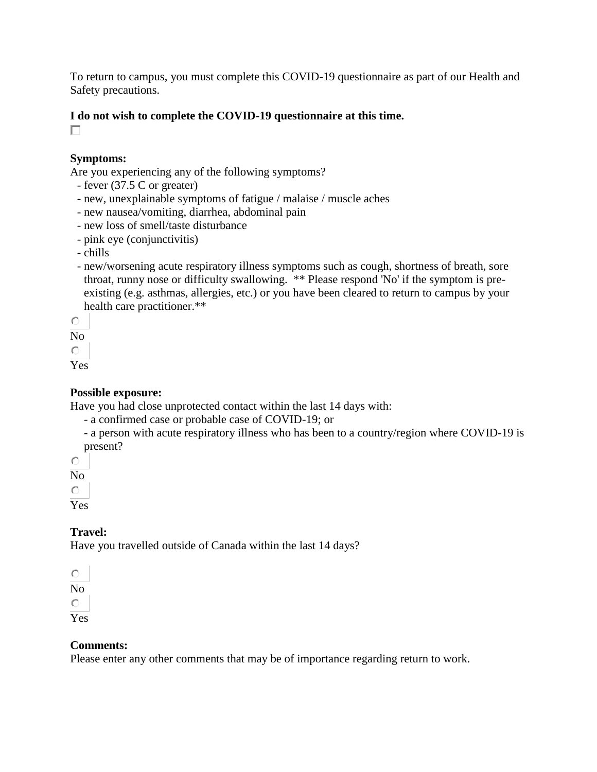To return to campus, you must complete this COVID-19 questionnaire as part of our Health and Safety precautions.

#### **I do not wish to complete the COVID-19 questionnaire at this time.**

 $\Box$ 

#### **Symptoms:**

Are you experiencing any of the following symptoms?

- fever (37.5 C or greater)
- new, unexplainable symptoms of fatigue / malaise / muscle aches
- new nausea/vomiting, diarrhea, abdominal pain
- new loss of smell/taste disturbance
- pink eye (conjunctivitis)
- chills
- new/worsening acute respiratory illness symptoms such as cough, shortness of breath, sore throat, runny nose or difficulty swallowing. \*\* Please respond 'No' if the symptom is preexisting (e.g. asthmas, allergies, etc.) or you have been cleared to return to campus by your health care practitioner.\*\*

 $\circ$ 

No

 $\bigcirc$ 

Yes

#### **Possible exposure:**

Have you had close unprotected contact within the last 14 days with:

- a confirmed case or probable case of COVID-19; or
- a person with acute respiratory illness who has been to a country/region where COVID-19 is present?

 $\bigcirc$ 

No

 $\bigcirc$ 

Yes

#### **Travel:**

Have you travelled outside of Canada within the last 14 days?

 $\circ$ 

No

 $\circ$ 

Yes

#### **Comments:**

Please enter any other comments that may be of importance regarding return to work.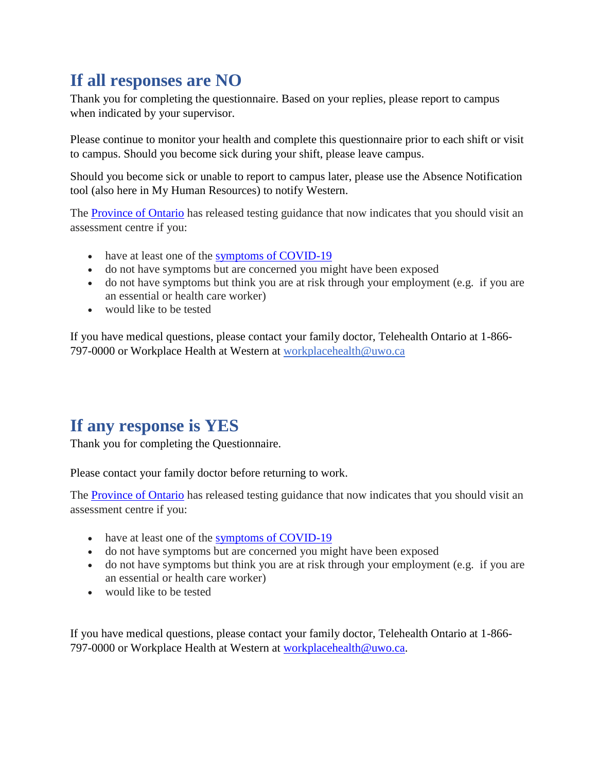# **If all responses are NO**

Thank you for completing the questionnaire. Based on your replies, please report to campus when indicated by your supervisor.

Please continue to monitor your health and complete this questionnaire prior to each shift or visit to campus. Should you become sick during your shift, please leave campus.

Should you become sick or unable to report to campus later, please use the Absence Notification tool (also here in My Human Resources) to notify Western.

The [Province of Ontario](https://files.ontario.ca/moh-covid-19-protecting-ontarians-through-enhanced-testing-en-2020-05-29.pdf) has released testing guidance that now indicates that you should visit an assessment centre if you:

- have at least one of the [symptoms of COVID-19](https://www.ontario.ca/page/covid-19-stop-spread#section-0)
- do not have symptoms but are concerned you might have been exposed
- do not have symptoms but think you are at risk through your employment (e.g. if you are an essential or health care worker)
- would like to be tested

If you have medical questions, please contact your family doctor, Telehealth Ontario at 1-866- 797-0000 or Workplace Health at Western at [workplacehealth@uwo.ca](mailto:workplacehealth@uwo.ca)

## **If any response is YES**

Thank you for completing the Questionnaire.

Please contact your family doctor before returning to work.

The [Province of Ontario](https://files.ontario.ca/moh-covid-19-protecting-ontarians-through-enhanced-testing-en-2020-05-29.pdf) has released testing guidance that now indicates that you should visit an assessment centre if you:

- have at least one of the [symptoms of COVID-19](https://www.ontario.ca/page/covid-19-stop-spread#section-0)
- do not have symptoms but are concerned you might have been exposed
- do not have symptoms but think you are at risk through your employment (e.g. if you are an essential or health care worker)
- would like to be tested

If you have medical questions, please contact your family doctor, Telehealth Ontario at 1-866- 797-0000 or Workplace Health at Western at [workplacehealth@uwo.ca.](mailto:workplacehealth@uwo.ca)